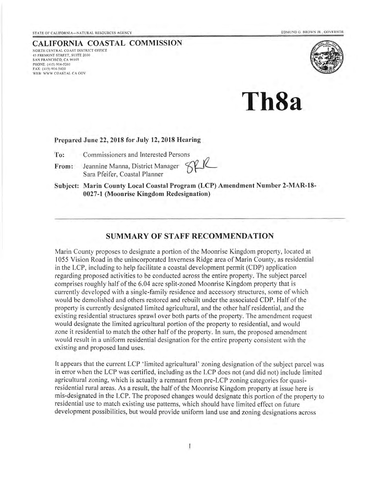#### CALIFORNIA COASTAL COMMISSION NORTH CENTRAL COAST DISTRICT OFFICE 45 FREMONT STREET. SUITE 2OOO sAN FRANCISCO, CA 94105 PHONE: (415) 904-5260<br>FAX: (415) 904-5400 WEB: WWW COASTAL CA GOV



ThSa

#### Prepared June 22, 2018 for July 12, 2018 Hearing

To: Commissioners and Interested Persons

From: Jeannine Manna, District Manager Sara Pfeifer, Coastal Planner

Subject: Marin County Local Coastal Program (LCP) Amendment Number 2-MAR-18- 0027-1 (Moonrise Kingdom Redesignation)

#### SUMMARY OF STAFF RECOMMENDATION

Marin County proposes to designate a portion of the Moonrise Kingdom property, located at 1055 Vision Road in the unincorporated Inverness Ridge area of Marin County, as residential in the LCP, including to help facilitate a coastal development permit (CDP) application regarding proposed activities to be conducted across the entire property. The subject parcel comprises roughly half of the 6.04 acre split-zoned Moonrise Kingdom property that is currently developed with a single-family residence and accessory structures, some of which would be demolished and others restored and rebuilt under the associated CDP. Half of the property is currently designated Iimited agricultural, and the other half residential, and the existing residential structures sprawl over both parts of the property. The amendment request would designate the limited agricultural portion of the property to residential, and would zone it residential to match the other half of the property. In sum, the proposed amendment would result in a uniform residential designation for the entire property consistent with the existing and proposed land uses.

It appears that the current LCP 'limited agricultural' zoning designation ofthe subject parcel was in error when the LCP was certified, including as the LCP does not (and did not) include limited agricultural zoning, which is actually a remnant from pre-LCP zoning categories for quasiresidential rural areas. As a result, the half of the Moonrise Kingdom property at issue here is mis-designated in the LCP. The proposed changes would designate this portion ofthe property to residential use to match existing use pattems, which should have limited effect on future development possibilities, but would provide uniform land use and zoning designations across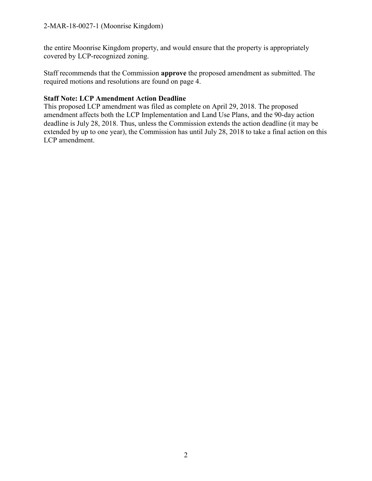the entire Moonrise Kingdom property, and would ensure that the property is appropriately covered by LCP-recognized zoning.

Staff recommends that the Commission **approve** the proposed amendment as submitted. The required motions and resolutions are found on page 4.

#### **Staff Note: LCP Amendment Action Deadline**

This proposed LCP amendment was filed as complete on April 29, 2018. The proposed amendment affects both the LCP Implementation and Land Use Plans, and the 90-day action deadline is July 28, 2018. Thus, unless the Commission extends the action deadline (it may be extended by up to one year), the Commission has until July 28, 2018 to take a final action on this LCP amendment.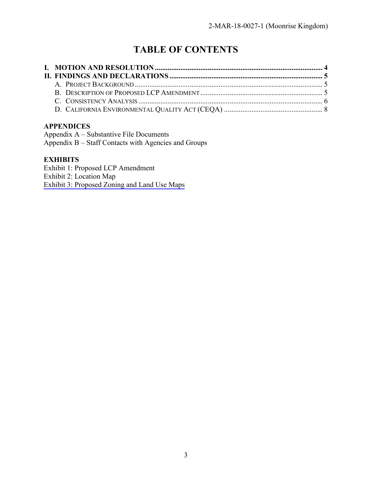# **TABLE OF CONTENTS**

### **APPENDICES**

Appendix A – Substantive File Documents Appendix B – Staff Contacts with Agencies and Groups

#### **EXHIBITS**

Exhibit 1: Proposed LCP Amendment Exhibit 2: Location Map [Exhibit 3: Proposed Zoning and Land Use Maps](https://documents.coastal.ca.gov/reports/2018/7/Th8a/Th8a-7-2018-exhibits.pdf)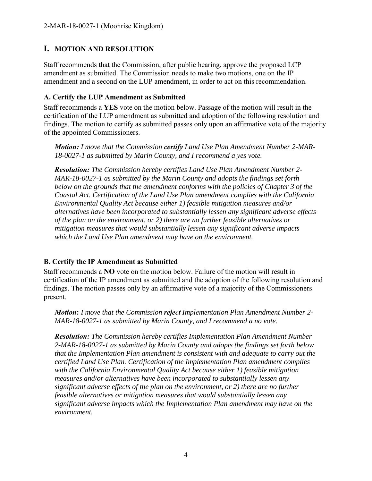#### <span id="page-3-0"></span>**I. MOTION AND RESOLUTION**

Staff recommends that the Commission, after public hearing, approve the proposed LCP amendment as submitted. The Commission needs to make two motions, one on the IP amendment and a second on the LUP amendment, in order to act on this recommendation.

#### **A. Certify the LUP Amendment as Submitted**

Staff recommends a **YES** vote on the motion below. Passage of the motion will result in the certification of the LUP amendment as submitted and adoption of the following resolution and findings. The motion to certify as submitted passes only upon an affirmative vote of the majority of the appointed Commissioners.

*Motion: I move that the Commission certify Land Use Plan Amendment Number 2-MAR-18-0027-1 as submitted by Marin County, and I recommend a yes vote.* 

*Resolution: The Commission hereby certifies Land Use Plan Amendment Number 2- MAR-18-0027-1 as submitted by the Marin County and adopts the findings set forth below on the grounds that the amendment conforms with the policies of Chapter 3 of the Coastal Act. Certification of the Land Use Plan amendment complies with the California Environmental Quality Act because either 1) feasible mitigation measures and/or alternatives have been incorporated to substantially lessen any significant adverse effects of the plan on the environment, or 2) there are no further feasible alternatives or mitigation measures that would substantially lessen any significant adverse impacts which the Land Use Plan amendment may have on the environment.*

#### **B. Certify the IP Amendment as Submitted**

Staff recommends a **NO** vote on the motion below. Failure of the motion will result in certification of the IP amendment as submitted and the adoption of the following resolution and findings. The motion passes only by an affirmative vote of a majority of the Commissioners present.

*Motion***:** *I move that the Commission reject Implementation Plan Amendment Number 2- MAR-18-0027-1 as submitted by Marin County, and I recommend a no vote.* 

*Resolution: The Commission hereby certifies Implementation Plan Amendment Number 2-MAR-18-0027-1 as submitted by Marin County and adopts the findings set forth below that the Implementation Plan amendment is consistent with and adequate to carry out the certified Land Use Plan. Certification of the Implementation Plan amendment complies with the California Environmental Quality Act because either 1) feasible mitigation measures and/or alternatives have been incorporated to substantially lessen any significant adverse effects of the plan on the environment, or 2) there are no further feasible alternatives or mitigation measures that would substantially lessen any significant adverse impacts which the Implementation Plan amendment may have on the environment.*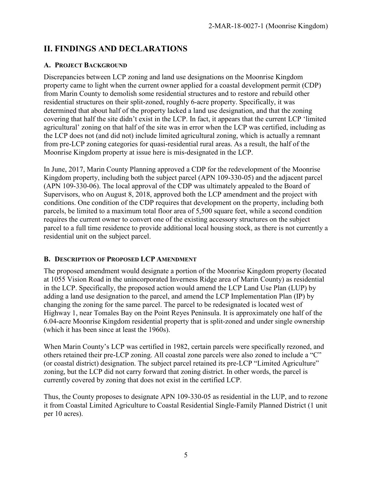# <span id="page-4-0"></span>**II. FINDINGS AND DECLARATIONS**

#### <span id="page-4-1"></span>**A. PROJECT BACKGROUND**

Discrepancies between LCP zoning and land use designations on the Moonrise Kingdom property came to light when the current owner applied for a coastal development permit (CDP) from Marin County to demolish some residential structures and to restore and rebuild other residential structures on their split-zoned, roughly 6-acre property. Specifically, it was determined that about half of the property lacked a land use designation, and that the zoning covering that half the site didn't exist in the LCP. In fact, it appears that the current LCP 'limited agricultural' zoning on that half of the site was in error when the LCP was certified, including as the LCP does not (and did not) include limited agricultural zoning, which is actually a remnant from pre-LCP zoning categories for quasi-residential rural areas. As a result, the half of the Moonrise Kingdom property at issue here is mis-designated in the LCP.

In June, 2017, Marin County Planning approved a CDP for the redevelopment of the Moonrise Kingdom property, including both the subject parcel (APN 109-330-05) and the adjacent parcel (APN 109-330-06). The local approval of the CDP was ultimately appealed to the Board of Supervisors, who on August 8, 2018, approved both the LCP amendment and the project with conditions. One condition of the CDP requires that development on the property, including both parcels, be limited to a maximum total floor area of 5,500 square feet, while a second condition requires the current owner to convert one of the existing accessory structures on the subject parcel to a full time residence to provide additional local housing stock, as there is not currently a residential unit on the subject parcel.

#### <span id="page-4-2"></span>**B. DESCRIPTION OF PROPOSED LCP AMENDMENT**

The proposed amendment would designate a portion of the Moonrise Kingdom property (located at 1055 Vision Road in the unincorporated Inverness Ridge area of Marin County) as residential in the LCP. Specifically, the proposed action would amend the LCP Land Use Plan (LUP) by adding a land use designation to the parcel, and amend the LCP Implementation Plan (IP) by changing the zoning for the same parcel. The parcel to be redesignated is located west of Highway 1, near Tomales Bay on the Point Reyes Peninsula. It is approximately one half of the 6.04-acre Moonrise Kingdom residential property that is split-zoned and under single ownership (which it has been since at least the 1960s).

When Marin County's LCP was certified in 1982, certain parcels were specifically rezoned, and others retained their pre-LCP zoning. All coastal zone parcels were also zoned to include a "C" (or coastal district) designation. The subject parcel retained its pre-LCP "Limited Agriculture" zoning, but the LCP did not carry forward that zoning district. In other words, the parcel is currently covered by zoning that does not exist in the certified LCP.

Thus, the County proposes to designate APN 109-330-05 as residential in the LUP, and to rezone it from Coastal Limited Agriculture to Coastal Residential Single-Family Planned District (1 unit per 10 acres).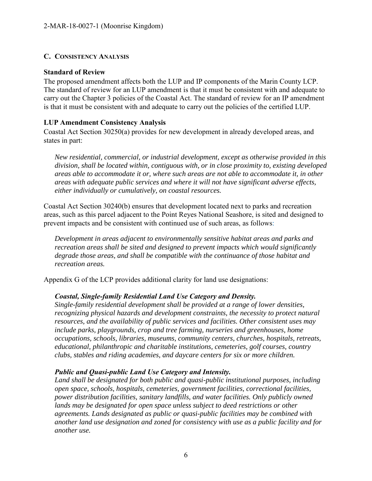#### <span id="page-5-0"></span>**C. CONSISTENCY ANALYSIS**

#### **Standard of Review**

The proposed amendment affects both the LUP and IP components of the Marin County LCP. The standard of review for an LUP amendment is that it must be consistent with and adequate to carry out the Chapter 3 policies of the Coastal Act. The standard of review for an IP amendment is that it must be consistent with and adequate to carry out the policies of the certified LUP.

#### **LUP Amendment Consistency Analysis**

Coastal Act Section 30250(a) provides for new development in already developed areas, and states in part:

*New residential, commercial, or industrial development, except as otherwise provided in this division, shall be located within, contiguous with, or in close proximity to, existing developed areas able to accommodate it or, where such areas are not able to accommodate it, in other areas with adequate public services and where it will not have significant adverse effects, either individually or cumulatively, on coastal resources.* 

Coastal Act Section 30240(b) ensures that development located next to parks and recreation areas, such as this parcel adjacent to the Point Reyes National Seashore, is sited and designed to prevent impacts and be consistent with continued use of such areas, as follows:

*Development in areas adjacent to environmentally sensitive habitat areas and parks and recreation areas shall be sited and designed to prevent impacts which would significantly degrade those areas, and shall be compatible with the continuance of those habitat and recreation areas.* 

Appendix G of the LCP provides additional clarity for land use designations:

#### *Coastal, Single-family Residential Land Use Category and Density.*

*Single-family residential development shall be provided at a range of lower densities, recognizing physical hazards and development constraints, the necessity to protect natural resources, and the availability of public services and facilities. Other consistent uses may include parks, playgrounds, crop and tree farming, nurseries and greenhouses, home occupations, schools, libraries, museums, community centers, churches, hospitals, retreats, educational, philanthropic and charitable institutions, cemeteries, golf courses, country clubs, stables and riding academies, and daycare centers for six or more children.* 

#### *Public and Quasi-public Land Use Category and Intensity.*

*Land shall be designated for both public and quasi-public institutional purposes, including open space, schools, hospitals, cemeteries, government facilities, correctional facilities, power distribution facilities, sanitary landfills, and water facilities. Only publicly owned*  lands may be designated for open space unless subject to deed restrictions or other *agreements. Lands designated as public or quasi-public facilities may be combined with another land use designation and zoned for consistency with use as a public facility and for another use.*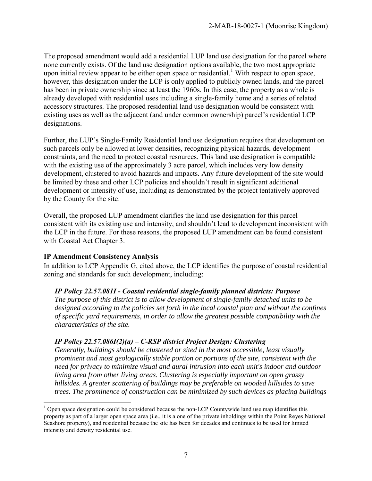The proposed amendment would add a residential LUP land use designation for the parcel where none currently exists. Of the land use designation options available, the two most appropriate upon initial review appear to be either open space or residential.<sup>1</sup> With respect to open space, however, this designation under the LCP is only applied to publicly owned lands, and the parcel has been in private ownership since at least the 1960s. In this case, the property as a whole is already developed with residential uses including a single-family home and a series of related accessory structures. The proposed residential land use designation would be consistent with existing uses as well as the adjacent (and under common ownership) parcel's residential LCP designations.

Further, the LUP's Single-Family Residential land use designation requires that development on such parcels only be allowed at lower densities, recognizing physical hazards, development constraints, and the need to protect coastal resources. This land use designation is compatible with the existing use of the approximately 3 acre parcel, which includes very low density development, clustered to avoid hazards and impacts. Any future development of the site would be limited by these and other LCP policies and shouldn't result in significant additional development or intensity of use, including as demonstrated by the project tentatively approved by the County for the site.

Overall, the proposed LUP amendment clarifies the land use designation for this parcel consistent with its existing use and intensity, and shouldn't lead to development inconsistent with the LCP in the future. For these reasons, the proposed LUP amendment can be found consistent with Coastal Act Chapter 3.

#### **IP Amendment Consistency Analysis**

In addition to LCP Appendix G, cited above, the LCP identifies the purpose of coastal residential zoning and standards for such development, including:

#### *IP Policy 22.57.081I - Coastal residential single-family planned districts: Purpose*

*The purpose of this district is to allow development of single-family detached units to be designed according to the policies set forth in the local coastal plan and without the confines of specific yard requirements, in order to allow the greatest possible compatibility with the characteristics of the site.* 

#### *IP Policy 22.57.086I(2)(a) – C-RSP district Project Design: Clustering*

*Generally, buildings should be clustered or sited in the most accessible, least visually prominent and most geologically stable portion or portions of the site, consistent with the need for privacy to minimize visual and aural intrusion into each unit's indoor and outdoor living area from other living areas. Clustering is especially important on open grassy hillsides. A greater scattering of buildings may be preferable on wooded hillsides to save trees. The prominence of construction can be minimized by such devices as placing buildings* 

 $\overline{a}$  $1$  Open space designation could be considered because the non-LCP Countywide land use map identifies this property as part of a larger open space area (i.e., it is a one of the private inholdings within the Point Reyes National Seashore property), and residential because the site has been for decades and continues to be used for limited intensity and density residential use.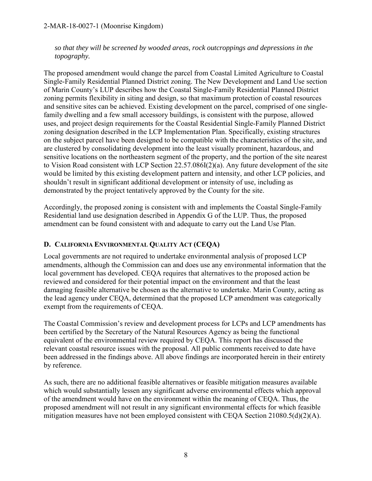*so that they will be screened by wooded areas, rock outcroppings and depressions in the topography.* 

The proposed amendment would change the parcel from Coastal Limited Agriculture to Coastal Single-Family Residential Planned District zoning. The New Development and Land Use section of Marin County's LUP describes how the Coastal Single-Family Residential Planned District zoning permits flexibility in siting and design, so that maximum protection of coastal resources and sensitive sites can be achieved. Existing development on the parcel, comprised of one singlefamily dwelling and a few small accessory buildings, is consistent with the purpose, allowed uses, and project design requirements for the Coastal Residential Single-Family Planned District zoning designation described in the LCP Implementation Plan. Specifically, existing structures on the subject parcel have been designed to be compatible with the characteristics of the site, and are clustered by consolidating development into the least visually prominent, hazardous, and sensitive locations on the northeastern segment of the property, and the portion of the site nearest to Vision Road consistent with LCP Section 22.57.086I(2)(a). Any future development of the site would be limited by this existing development pattern and intensity, and other LCP policies, and shouldn't result in significant additional development or intensity of use, including as demonstrated by the project tentatively approved by the County for the site.

Accordingly, the proposed zoning is consistent with and implements the Coastal Single-Family Residential land use designation described in Appendix G of the LUP. Thus, the proposed amendment can be found consistent with and adequate to carry out the Land Use Plan.

### <span id="page-7-0"></span>**D. CALIFORNIA ENVIRONMENTAL QUALITY ACT (CEQA)**

Local governments are not required to undertake environmental analysis of proposed LCP amendments, although the Commission can and does use any environmental information that the local government has developed. CEQA requires that alternatives to the proposed action be reviewed and considered for their potential impact on the environment and that the least damaging feasible alternative be chosen as the alternative to undertake. Marin County, acting as the lead agency under CEQA, determined that the proposed LCP amendment was categorically exempt from the requirements of CEQA.

The Coastal Commission's review and development process for LCPs and LCP amendments has been certified by the Secretary of the Natural Resources Agency as being the functional equivalent of the environmental review required by CEQA. This report has discussed the relevant coastal resource issues with the proposal. All public comments received to date have been addressed in the findings above. All above findings are incorporated herein in their entirety by reference.

As such, there are no additional feasible alternatives or feasible mitigation measures available which would substantially lessen any significant adverse environmental effects which approval of the amendment would have on the environment within the meaning of CEQA. Thus, the proposed amendment will not result in any significant environmental effects for which feasible mitigation measures have not been employed consistent with CEQA Section 21080.5(d)(2)(A).